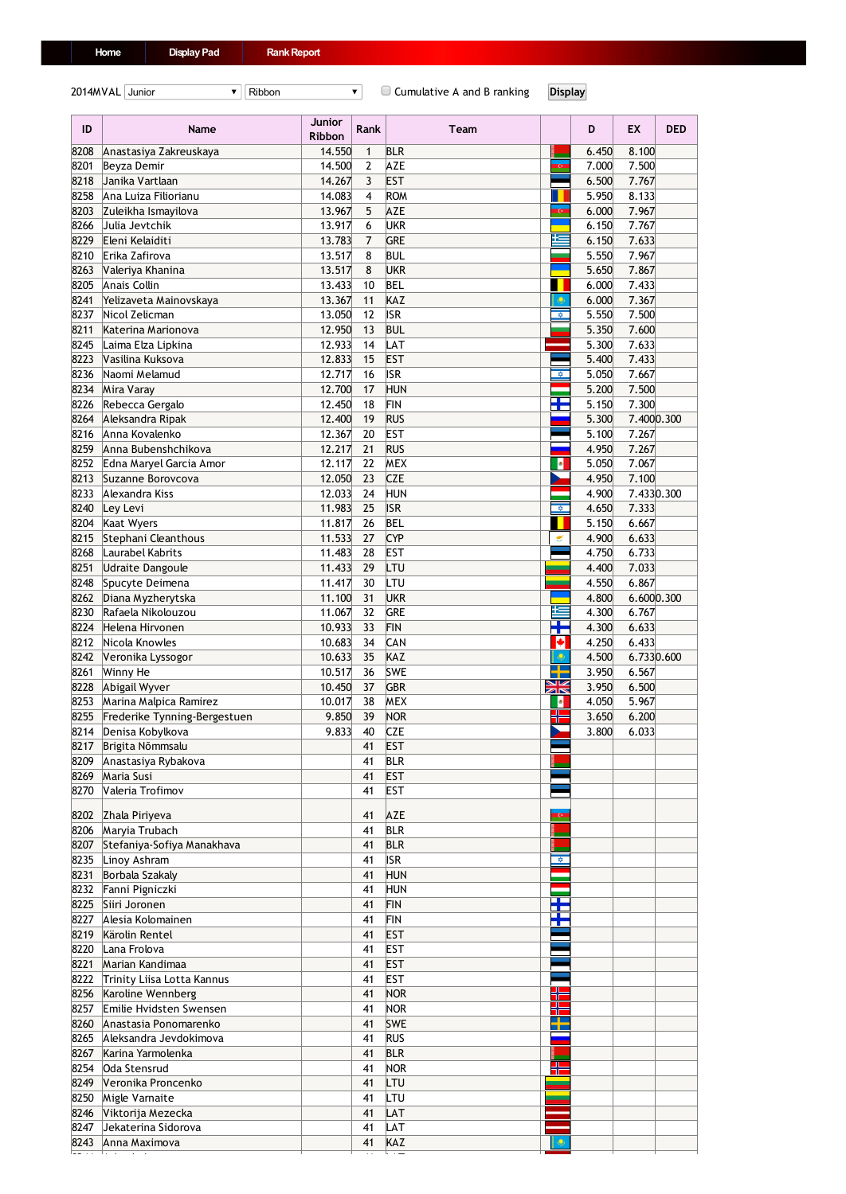2014MVAL Junior **T** Ribbon **Ribbon Ribbon Ribbon Cumulative A and B ranking Display** 

| ID           | Name                                     | Junior<br><b>Ribbon</b> | <b>Rank</b>    | Team                     |                         | D              | EX                  | <b>DED</b> |
|--------------|------------------------------------------|-------------------------|----------------|--------------------------|-------------------------|----------------|---------------------|------------|
| 8208         | Anastasiya Zakreuskaya                   | 14.550                  | $\mathbf{1}$   | <b>BLR</b>               |                         | 6.450          | 8.100               |            |
| 8201         | Beyza Demir                              | 14.500                  | $\overline{2}$ | AZE                      | œ                       | 7.000          | 7.500               |            |
| 8218         | Janika Vartlaan                          | 14.267                  | 3              | EST                      |                         | 6.500          | 7.767               |            |
| 8258<br>8203 | Ana Luiza Filiorianu                     | 14.083<br>13.967        | 4<br>5         | ROM<br><b>AZE</b>        |                         | 5.950<br>6.000 | 8.133<br>7.967      |            |
| 8266         | Zuleikha Ismayilova<br>Julia Jevtchik    | 13.917                  | 6              | UKR                      |                         | 6.150          | 7.767               |            |
| 8229         | Eleni Kelaiditi                          | 13.783                  | 7              | <b>GRE</b>               |                         | 6.150          | 7.633               |            |
| 8210         | Erika Zafirova                           | 13.517                  | 8              | <b>BUL</b>               |                         | 5.550          | 7.967               |            |
| 8263         | Valeriya Khanina                         | 13.517                  | 8              | UKR                      |                         | 5.650          | 7.867               |            |
| 8205         | Anais Collin                             | 13.433                  | 10             | <b>BEL</b>               |                         | 6.000          | 7.433               |            |
| 8241         | Yelizaveta Mainovskaya                   | 13.367                  | 11             | KAZ                      | ۵                       | 6.000          | 7.367               |            |
| 8237         | Nicol Zelicman                           | 13.050                  | 12             | <b>ISR</b>               | ☆                       | 5.550          | 7.500               |            |
| 8211         | Katerina Marionova                       | 12.950                  | 13             | <b>BUL</b>               |                         | 5.350          | 7.600               |            |
| 8245         | Laima Elza Lipkina                       | 12.933                  | 14             | LAT                      |                         | 5.300          | 7.633               |            |
| 8223         | Vasilina Kuksova                         | 12.833                  | 15             | <b>EST</b>               |                         | 5.400          | 7.433               |            |
| 8236         | Naomi Melamud                            | 12.717                  | 16             | <b>ISR</b>               | $\hat{\nabla}$          | 5.050          | 7.667               |            |
| 8234         | Mira Varay                               | 12.700                  | 17             | <b>HUN</b>               |                         | 5.200          | 7.500               |            |
| 8226<br>8264 | Rebecca Gergalo<br>Aleksandra Ripak      | 12.450<br>12.400        | 18<br>19       | FIN<br><b>RUS</b>        | ÷                       | 5.150<br>5.300 | 7.300<br>7.4000.300 |            |
| 8216         | Anna Kovalenko                           | 12.367                  | 20             | <b>EST</b>               |                         | 5.100          | 7.267               |            |
| 8259         | Anna Bubenshchikova                      | 12.217                  | 21             | <b>RUS</b>               |                         | 4.950          | 7.267               |            |
| 8252         | Edna Maryel Garcia Amor                  | 12.117                  | 22             | <b>MEX</b>               | ۰                       | 5.050          | 7.067               |            |
| 8213         | Suzanne Borovcova                        | 12.050                  | 23             | <b>CZE</b>               |                         | 4.950          | 7.100               |            |
| 8233         | Alexandra Kiss                           | 12.033                  | 24             | HUN                      |                         | 4.900          | 7.4330.300          |            |
| 8240         | Ley Levi                                 | 11.983                  | 25             | <b>ISR</b>               | $\overline{\mathbf{v}}$ | 4.650          | 7.333               |            |
| 8204         | Kaat Wyers                               | 11.817                  | 26             | <b>BEL</b>               |                         | 5.150          | 6.667               |            |
| 8215         | Stephani Cleanthous                      | 11.533                  | 27             | <b>CYP</b>               | €                       | 4.900          | 6.633               |            |
| 8268         | Laurabel Kabrits                         | 11.483                  | 28             | <b>EST</b>               |                         | 4.750          | 6.733               |            |
| 8251         | <b>Udraite Dangoule</b>                  | 11.433                  | 29             | LTU                      |                         | 4.400          | 7.033               |            |
| 8248         | Spucyte Deimena                          | 11.417                  | 30             | LTU                      |                         | 4.550          | 6.867               |            |
| 8262         | Diana Myzherytska                        | 11.100                  | 31             | <b>UKR</b>               | Ł                       | 4.800          | 6.600 0.300         |            |
| 8230<br>8224 | Rafaela Nikolouzou<br>Helena Hirvonen    | 11.067<br>10.933        | 32<br>33       | GRE<br><b>FIN</b>        | Ŧ                       | 4.300<br>4.300 | 6.767<br>6.633      |            |
| 8212         | Nicola Knowles                           | 10.683                  | 34             | CAN                      | ◆                       | 4.250          | 6.433               |            |
| 8242         | Veronika Lyssogor                        | 10.633                  | 35             | KAZ                      | ۴                       | 4.500          | 6.7330.600          |            |
| 8261         | Winny He                                 | 10.517                  | 36             | <b>SWE</b>               | зL,                     | 3.950          | 6.567               |            |
| 8228         | Abigail Wyver                            | 10.450                  | 37             | GBR                      | N <u>N</u><br>ZK        | 3.950          | 6.500               |            |
| 8253         | Marina Malpica Ramirez                   | 10.017                  | 38             | <b>MEX</b>               | ۰                       | 4.050          | 5.967               |            |
| 8255         | Frederike Tynning-Bergestuen             | 9.850                   | 39             | <b>NOR</b>               | ╬                       | 3.650          | 6.200               |            |
| 8214         | Denisa Kobylkova                         | 9.833                   | 40             | <b>CZE</b>               |                         | 3.800          | 6.033               |            |
|              | 8217 Brigita Nõmmsalu                    |                         | 41             | <b>EST</b>               |                         |                |                     |            |
|              | 8209 Anastasiya Rybakova                 |                         | 41             | <b>BLR</b>               |                         |                |                     |            |
| 8269         | Maria Susi                               |                         | 41             | <b>EST</b>               |                         |                |                     |            |
| 8270         | Valeria Trofimov                         |                         | 41             | <b>EST</b>               |                         |                |                     |            |
| 8202         | Zhala Piriyeva                           |                         | 41             | <b>AZE</b>               | $\bullet$               |                |                     |            |
| 8206         | Maryia Trubach                           |                         | 41             | <b>BLR</b>               |                         |                |                     |            |
| 8207         | Stefaniya-Sofiya Manakhava               |                         | 41             | <b>BLR</b>               |                         |                |                     |            |
| 8235         | Linoy Ashram                             |                         | 41             | <b>ISR</b>               | ✿                       |                |                     |            |
| 8231         | Borbala Szakaly                          |                         | 41             | <b>HUN</b>               |                         |                |                     |            |
| 8232         | Fanni Pigniczki                          |                         | 41             | <b>HUN</b>               |                         |                |                     |            |
| 8225<br>8227 | Siiri Joronen<br>Alesia Kolomainen       |                         | 41<br>41       | <b>FIN</b><br><b>FIN</b> | a po<br>Ŧ               |                |                     |            |
| 8219         | Kärolin Rentel                           |                         | 41             | <b>EST</b>               |                         |                |                     |            |
| 8220         | Lana Frolova                             |                         | 41             | <b>EST</b>               |                         |                |                     |            |
| 8221         | Marian Kandimaa                          |                         | 41             | <b>EST</b>               |                         |                |                     |            |
| 8222         | Trinity Liisa Lotta Kannus               |                         | 41             | <b>EST</b>               |                         |                |                     |            |
| 8256         | Karoline Wennberg                        |                         | 41             | <b>NOR</b>               |                         |                |                     |            |
| 8257         | Emilie Hvidsten Swensen                  |                         | 41             | <b>NOR</b>               |                         |                |                     |            |
| 8260         | Anastasia Ponomarenko                    |                         | 41             | <b>SWE</b>               |                         |                |                     |            |
| 8265         | Aleksandra Jevdokimova                   |                         | 41             | <b>RUS</b>               |                         |                |                     |            |
| 8267         | Karina Yarmolenka                        |                         | 41             | <b>BLR</b>               |                         |                |                     |            |
| 8254         | Oda Stensrud                             |                         | 41             | <b>NOR</b>               |                         |                |                     |            |
| 8249         | Veronika Proncenko                       |                         | 41             | LTU                      |                         |                |                     |            |
| 8250<br>8246 | Migle Varnaite                           |                         | 41<br>41       | LTU<br>LAT               |                         |                |                     |            |
| 8247         | Viktorija Mezecka<br>Jekaterina Sidorova |                         | 41             | LAT                      |                         |                |                     |            |
|              | 8243 Anna Maximova                       |                         | 41             | KAZ                      | ۵                       |                |                     |            |

Arina Leina 41 LAT